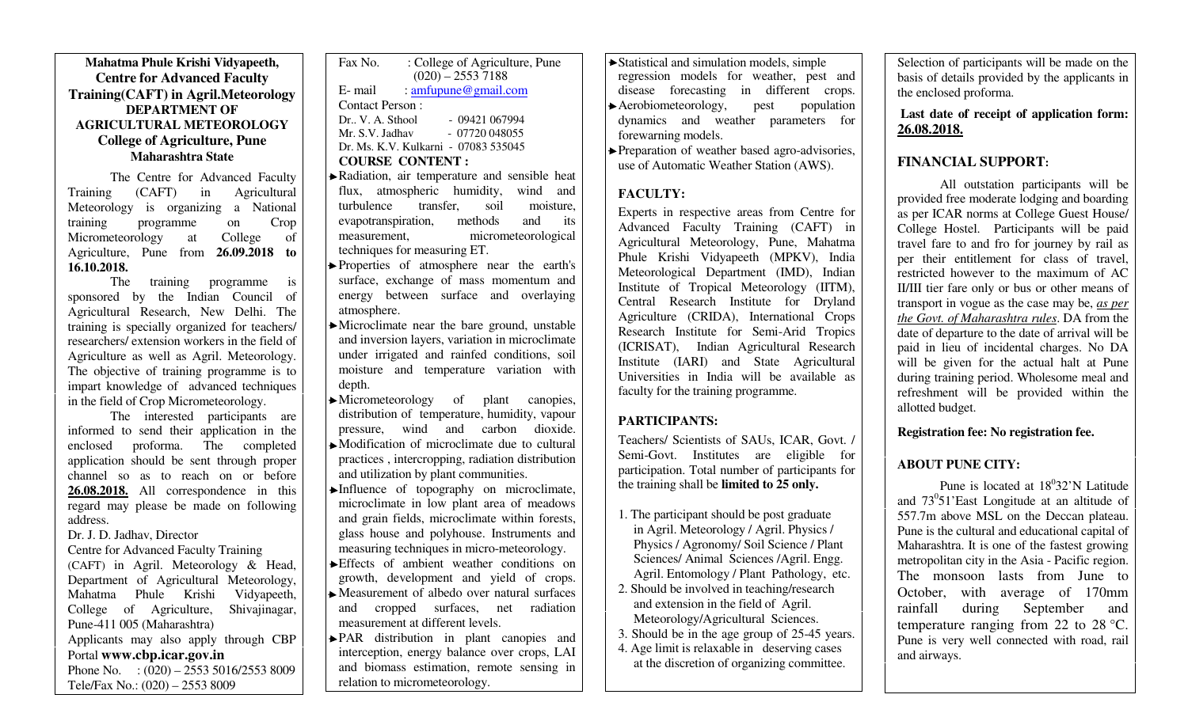#### **Mahatma Phule Krishi Vidyapeeth, Centre for Advanced Faculty Training(CAFT) in Agril.Meteorology DEPARTMENT OF AGRICULTURAL METEOROLOGYCollege of Agriculture, PuneMaharashtra State**

The Centre for Advanced Faculty<br>Training (CAFT) in Agricultural Training (CAFT) in Agricultural Meteorology is organizing a National training programme on Crop College of Micrometeorology at Agriculture, Pune from **26.09.2018 to 16.10.2018.** 

 The training programme is sponsored by the Indian Council of Agricultural Research, New Delhi. The training is specially organized for teachers/ researchers/ extension workers in the field of Agriculture as well as Agril. Meteorology. The objective of training programme is to impart knowledge of advanced techniques in the field of Crop Micrometeorology.

 The interested participants are informed to send their application in the enclosed proforma. The completed application should be sent through proper channel so as to reach on or before **26.08.2018.** All correspondence in this regard may please be made on following address.

Dr. J. D. Jadhav, Director

#### Centre for Advanced Faculty Training (CAFT) in Agril. Meteorology & Head, Department of Agricultural Meteorology, Mahatma Phule Krishi Vidyapeeth, College of Agriculture, Shivajinagar, Pune-411 005 (Maharashtra) Applicants may also apply through CBP Portal **www.cbp.icar.gov.in** Phone No. :  $(020) - 25535016/25538009$ Tele/Fax No.: (020) – 2553 8009

| Fax No.                              | : College of Agriculture, Pune |  |  |  |
|--------------------------------------|--------------------------------|--|--|--|
|                                      | $(020) - 25537188$             |  |  |  |
| E- mail                              | : amfupune@gmail.com           |  |  |  |
| Contact Person:                      |                                |  |  |  |
| Dr., V. A. Sthool                    | $-09421067994$                 |  |  |  |
| Mr. S.V. Jadhav                      | $-07720048055$                 |  |  |  |
| Dr. Ms. K.V. Kulkarni - 07083 535045 |                                |  |  |  |
| <b>COURSE CONTENT:</b>               |                                |  |  |  |
|                                      |                                |  |  |  |

- Radiation, air temperature and sensible heat flux, atmospheric humidity, wind and turbulence transfer, soil moisture, evapotranspiration, methods and its measurement, micrometeorological techniques for measuring ET.
- Properties of atmosphere near the earth's surface, exchange of mass momentum and energy between surface and overlaying atmosphere.
- Microclimate near the bare ground, unstable and inversion layers, variation in microclimate under irrigated and rainfed conditions, soil moisture and temperature variation with depth.
- Micrometeorology of plant canopies, distribution of temperature, humidity, vapour pressure, wind and carbon dioxide. Modification of microclimate due to cultural practices , intercropping, radiation distribution
- and utilization by plant communities. Influence of topography on microclimate,
- microclimate in low plant area of meadows and grain fields, microclimate within forests, glass house and polyhouse. Instruments and measuring techniques in micro-meteorology.
- Effects of ambient weather conditions on growth, development and yield of crops.
- Measurement of albedo over natural surfaces and cropped surfaces, net radiation measurement at different levels.
- PAR distribution in plant canopies and interception, energy balance over crops, LAI and biomass estimation, remote sensing in relation to micrometeorology.
- Statistical and simulation models, simple regression models for weather, pest and disease forecasting in different crops. Aerobiometeorology, pest population dynamics and weather parameters for forewarning models.
- Preparation of weather based agro-advisories, use of Automatic Weather Station (AWS).

#### **FACULTY:**

Experts in respective areas from Centre for Advanced Faculty Training (CAFT) in Agricultural Meteorology, Pune, Mahatma Phule Krishi Vidyapeeth (MPKV), India Meteorological Department (IMD), Indian Institute of Tropical Meteorology (IITM), Central Research Institute for Dryland Agriculture (CRIDA), International Crops Research Institute for Semi-Arid Tropics (ICRISAT), Indian Agricultural Research Institute (IARI) and State Agricultural Universities in India will be available as faculty for the training programme.

## **PARTICIPANTS:**

Teachers/ Scientists of SAUs, ICAR, Govt. / Semi-Govt. Institutes are eligible for participation. Total number of participants for the training shall be **limited to 25 only.** 

- 1. The participant should be post graduate in Agril. Meteorology / Agril. Physics / Physics / Agronomy/ Soil Science / Plant Sciences/ Animal Sciences /Agril. Engg. Agril. Entomology / Plant Pathology, etc.
- 2. Should be involved in teaching/research and extension in the field of Agril. Meteorology/Agricultural Sciences.
- 3. Should be in the age group of 25-45 years.
- 4. Age limit is relaxable in deserving cases at the discretion of organizing committee.

Selection of participants will be made on the basis of details provided by the applicants in the enclosed proforma.

**Last date of receipt of application form: 26.08.2018.**

# **FINANCIAL SUPPORT:**

All outstation participants will be provided free moderate lodging and boarding as per ICAR norms at College Guest House/ College Hostel. Participants will be paid travel fare to and fro for journey by rail as per their entitlement for class of travel, restricted however to the maximum of AC II/III tier fare only or bus or other means of transport in vogue as the case may be, *as per the Govt. of Maharashtra rules*. DA from the date of departure to the date of arrival will be paid in lieu of incidental charges. No DA will be given for the actual halt at Pune during training period. Wholesome meal and refreshment will be provided within the allotted budget.

### **Registration fee: No registration fee.**

# **ABOUT PUNE CITY:**

Pune is located at  $18^032'N$  Latitude and  $73^051$ 'East Longitude at an altitude of 557.7m above MSL on the Deccan plateau. Pune is the cultural and educational capital of Maharashtra. It is one of the fastest growing metropolitan city in the Asia - Pacific region. The monsoon lasts from June to October, with average of 170mm rainfall during September and temperature ranging from 22 to 28 °C. Pune is very well connected with road, rail and airways.